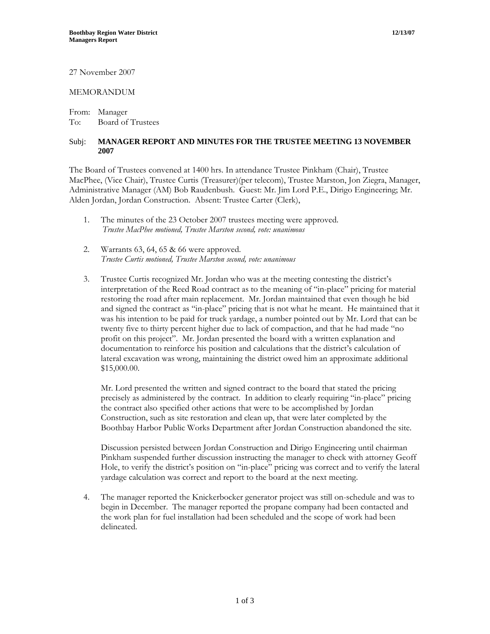27 November 2007

## MEMORANDUM

From: Manager To: Board of Trustees

## Subj: **MANAGER REPORT AND MINUTES FOR THE TRUSTEE MEETING 13 NOVEMBER 2007**

The Board of Trustees convened at 1400 hrs. In attendance Trustee Pinkham (Chair), Trustee MacPhee, (Vice Chair), Trustee Curtis (Treasurer)(per telecom), Trustee Marston, Jon Ziegra, Manager, Administrative Manager (AM) Bob Raudenbush. Guest: Mr. Jim Lord P.E., Dirigo Engineering; Mr. Alden Jordan, Jordan Construction. Absent: Trustee Carter (Clerk),

- 1. The minutes of the 23 October 2007 trustees meeting were approved. *Trustee MacPhee motioned, Trustee Marston second, vote: unanimous*
- 2. Warrants 63, 64, 65 & 66 were approved. *Trustee Curtis motioned, Trustee Marston second, vote: unanimous*
- 3. Trustee Curtis recognized Mr. Jordan who was at the meeting contesting the district's interpretation of the Reed Road contract as to the meaning of "in-place" pricing for material restoring the road after main replacement. Mr. Jordan maintained that even though he bid and signed the contract as "in-place" pricing that is not what he meant. He maintained that it was his intention to be paid for truck yardage, a number pointed out by Mr. Lord that can be twenty five to thirty percent higher due to lack of compaction, and that he had made "no profit on this project". Mr. Jordan presented the board with a written explanation and documentation to reinforce his position and calculations that the district's calculation of lateral excavation was wrong, maintaining the district owed him an approximate additional \$15,000.00.

Mr. Lord presented the written and signed contract to the board that stated the pricing precisely as administered by the contract. In addition to clearly requiring "in-place" pricing the contract also specified other actions that were to be accomplished by Jordan Construction, such as site restoration and clean up, that were later completed by the Boothbay Harbor Public Works Department after Jordan Construction abandoned the site.

Discussion persisted between Jordan Construction and Dirigo Engineering until chairman Pinkham suspended further discussion instructing the manager to check with attorney Geoff Hole, to verify the district's position on "in-place" pricing was correct and to verify the lateral yardage calculation was correct and report to the board at the next meeting.

4. The manager reported the Knickerbocker generator project was still on-schedule and was to begin in December. The manager reported the propane company had been contacted and the work plan for fuel installation had been scheduled and the scope of work had been delineated.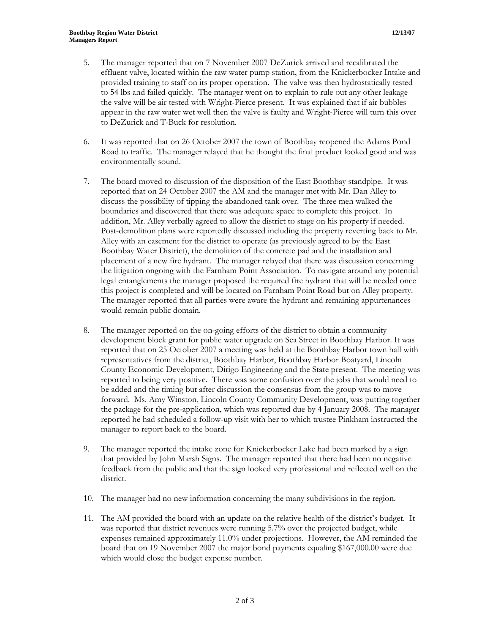- 5. The manager reported that on 7 November 2007 DeZurick arrived and recalibrated the effluent valve, located within the raw water pump station, from the Knickerbocker Intake and provided training to staff on its proper operation. The valve was then hydrostatically tested to 54 lbs and failed quickly. The manager went on to explain to rule out any other leakage the valve will be air tested with Wright-Pierce present. It was explained that if air bubbles appear in the raw water wet well then the valve is faulty and Wright-Pierce will turn this over to DeZurick and T-Buck for resolution.
- 6. It was reported that on 26 October 2007 the town of Boothbay reopened the Adams Pond Road to traffic. The manager relayed that he thought the final product looked good and was environmentally sound.
- 7. The board moved to discussion of the disposition of the East Boothbay standpipe. It was reported that on 24 October 2007 the AM and the manager met with Mr. Dan Alley to discuss the possibility of tipping the abandoned tank over. The three men walked the boundaries and discovered that there was adequate space to complete this project. In addition, Mr. Alley verbally agreed to allow the district to stage on his property if needed. Post-demolition plans were reportedly discussed including the property reverting back to Mr. Alley with an easement for the district to operate (as previously agreed to by the East Boothbay Water District), the demolition of the concrete pad and the installation and placement of a new fire hydrant. The manager relayed that there was discussion concerning the litigation ongoing with the Farnham Point Association. To navigate around any potential legal entanglements the manager proposed the required fire hydrant that will be needed once this project is completed and will be located on Farnham Point Road but on Alley property. The manager reported that all parties were aware the hydrant and remaining appurtenances would remain public domain.
- 8. The manager reported on the on-going efforts of the district to obtain a community development block grant for public water upgrade on Sea Street in Boothbay Harbor. It was reported that on 25 October 2007 a meeting was held at the Boothbay Harbor town hall with representatives from the district, Boothbay Harbor, Boothbay Harbor Boatyard, Lincoln County Economic Development, Dirigo Engineering and the State present. The meeting was reported to being very positive. There was some confusion over the jobs that would need to be added and the timing but after discussion the consensus from the group was to move forward. Ms. Amy Winston, Lincoln County Community Development, was putting together the package for the pre-application, which was reported due by 4 January 2008. The manager reported he had scheduled a follow-up visit with her to which trustee Pinkham instructed the manager to report back to the board.
- 9. The manager reported the intake zone for Knickerbocker Lake had been marked by a sign that provided by John Marsh Signs. The manager reported that there had been no negative feedback from the public and that the sign looked very professional and reflected well on the district.
- 10. The manager had no new information concerning the many subdivisions in the region.
- 11. The AM provided the board with an update on the relative health of the district's budget. It was reported that district revenues were running 5.7% over the projected budget, while expenses remained approximately 11.0% under projections. However, the AM reminded the board that on 19 November 2007 the major bond payments equaling \$167,000.00 were due which would close the budget expense number.